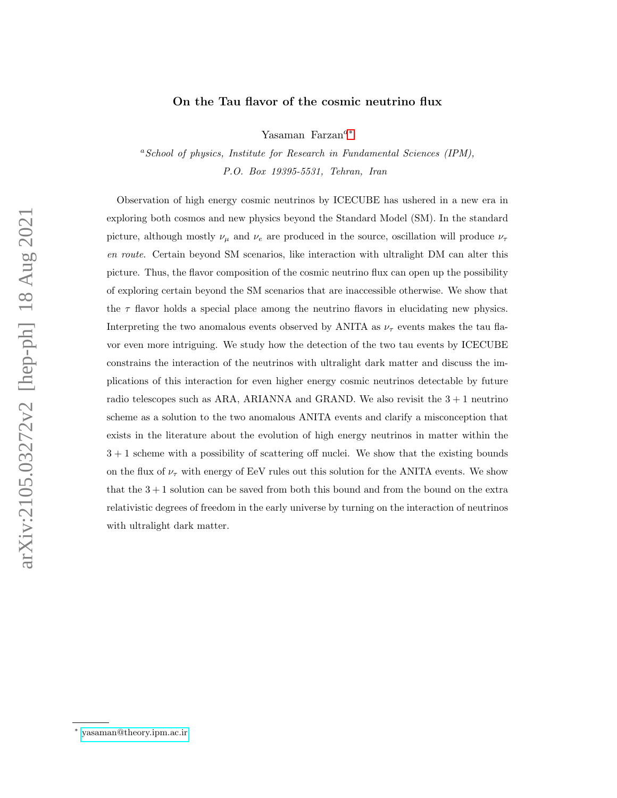## On the Tau flavor of the cosmic neutrino flux

Yasaman Farzan<sup>a[∗](#page-0-0)</sup>

 ${}^aSchool$  of physics, Institute for Research in Fundamental Sciences (IPM), P.O. Box 19395-5531, Tehran, Iran

Observation of high energy cosmic neutrinos by ICECUBE has ushered in a new era in exploring both cosmos and new physics beyond the Standard Model (SM). In the standard picture, although mostly  $\nu_{\mu}$  and  $\nu_{e}$  are produced in the source, oscillation will produce  $\nu_{\tau}$ en route. Certain beyond SM scenarios, like interaction with ultralight DM can alter this picture. Thus, the flavor composition of the cosmic neutrino flux can open up the possibility of exploring certain beyond the SM scenarios that are inaccessible otherwise. We show that the  $\tau$  flavor holds a special place among the neutrino flavors in elucidating new physics. Interpreting the two anomalous events observed by ANITA as  $\nu_{\tau}$  events makes the tau flavor even more intriguing. We study how the detection of the two tau events by ICECUBE constrains the interaction of the neutrinos with ultralight dark matter and discuss the implications of this interaction for even higher energy cosmic neutrinos detectable by future radio telescopes such as ARA, ARIANNA and GRAND. We also revisit the  $3 + 1$  neutrino scheme as a solution to the two anomalous ANITA events and clarify a misconception that exists in the literature about the evolution of high energy neutrinos in matter within the  $3 + 1$  scheme with a possibility of scattering off nuclei. We show that the existing bounds on the flux of  $\nu_{\tau}$  with energy of EeV rules out this solution for the ANITA events. We show that the  $3 + 1$  solution can be saved from both this bound and from the bound on the extra relativistic degrees of freedom in the early universe by turning on the interaction of neutrinos with ultralight dark matter.

<span id="page-0-0"></span><sup>∗</sup> [yasaman@theory.ipm.ac.ir](mailto:yasaman@theory.ipm.ac.ir)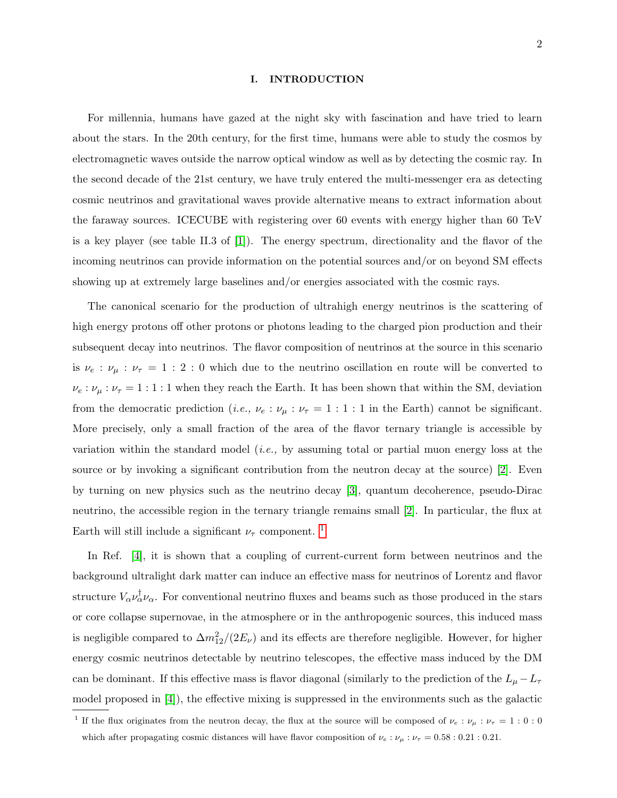#### I. INTRODUCTION

For millennia, humans have gazed at the night sky with fascination and have tried to learn about the stars. In the 20th century, for the first time, humans were able to study the cosmos by electromagnetic waves outside the narrow optical window as well as by detecting the cosmic ray. In the second decade of the 21st century, we have truly entered the multi-messenger era as detecting cosmic neutrinos and gravitational waves provide alternative means to extract information about the faraway sources. ICECUBE with registering over 60 events with energy higher than 60 TeV is a key player (see table II.3 of [\[1\]](#page-16-0)). The energy spectrum, directionality and the flavor of the incoming neutrinos can provide information on the potential sources and/or on beyond SM effects showing up at extremely large baselines and/or energies associated with the cosmic rays.

The canonical scenario for the production of ultrahigh energy neutrinos is the scattering of high energy protons off other protons or photons leading to the charged pion production and their subsequent decay into neutrinos. The flavor composition of neutrinos at the source in this scenario is  $\nu_e$ :  $\nu_\mu$  :  $\nu_\tau$  = 1 : 2 : 0 which due to the neutrino oscillation en route will be converted to  $\nu_e : \nu_\mu : \nu_\tau = 1 : 1 : 1$  when they reach the Earth. It has been shown that within the SM, deviation from the democratic prediction (*i.e.*,  $\nu_e : \nu_\mu : \nu_\tau = 1 : 1 : 1$  in the Earth) cannot be significant. More precisely, only a small fraction of the area of the flavor ternary triangle is accessible by variation within the standard model (*i.e.*, by assuming total or partial muon energy loss at the source or by invoking a significant contribution from the neutron decay at the source) [\[2\]](#page-16-1). Even by turning on new physics such as the neutrino decay [\[3\]](#page-16-2), quantum decoherence, pseudo-Dirac neutrino, the accessible region in the ternary triangle remains small [\[2\]](#page-16-1). In particular, the flux at Earth will still include a significant  $\nu_{\tau}$  component. <sup>[1](#page-1-0)</sup>

In Ref. [\[4\]](#page-16-3), it is shown that a coupling of current-current form between neutrinos and the background ultralight dark matter can induce an effective mass for neutrinos of Lorentz and flavor structure  $V_{\alpha} \nu_{\alpha}^{\dagger} \nu_{\alpha}$ . For conventional neutrino fluxes and beams such as those produced in the stars or core collapse supernovae, in the atmosphere or in the anthropogenic sources, this induced mass is negligible compared to  $\Delta m_{12}^2/(2E_\nu)$  and its effects are therefore negligible. However, for higher energy cosmic neutrinos detectable by neutrino telescopes, the effective mass induced by the DM can be dominant. If this effective mass is flavor diagonal (similarly to the prediction of the  $L_{\mu} - L_{\tau}$ model proposed in [\[4\]](#page-16-3)), the effective mixing is suppressed in the environments such as the galactic

<span id="page-1-0"></span><sup>&</sup>lt;sup>1</sup> If the flux originates from the neutron decay, the flux at the source will be composed of  $\nu_e : \nu_\mu : \nu_\tau = 1 : 0 : 0$ which after propagating cosmic distances will have flavor composition of  $\nu_e : \nu_\mu : \nu_\tau = 0.58 : 0.21 : 0.21$ .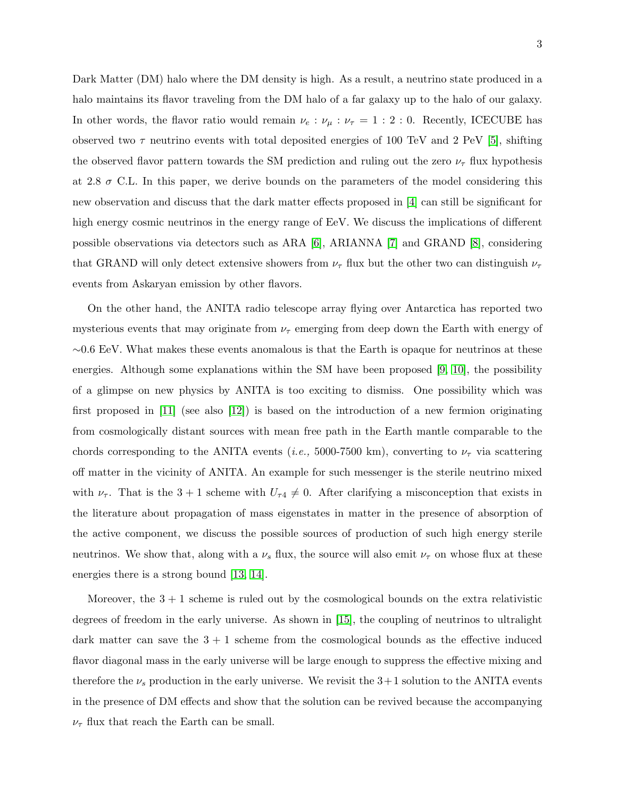Dark Matter (DM) halo where the DM density is high. As a result, a neutrino state produced in a halo maintains its flavor traveling from the DM halo of a far galaxy up to the halo of our galaxy. In other words, the flavor ratio would remain  $\nu_e : \nu_\mu : \nu_\tau = 1 : 2 : 0$ . Recently, ICECUBE has observed two  $\tau$  neutrino events with total deposited energies of 100 TeV and 2 PeV [\[5\]](#page-16-4), shifting the observed flavor pattern towards the SM prediction and ruling out the zero  $\nu_{\tau}$  flux hypothesis at 2.8  $\sigma$  C.L. In this paper, we derive bounds on the parameters of the model considering this new observation and discuss that the dark matter effects proposed in [\[4\]](#page-16-3) can still be significant for high energy cosmic neutrinos in the energy range of EeV. We discuss the implications of different possible observations via detectors such as ARA [\[6\]](#page-16-5), ARIANNA [\[7\]](#page-16-6) and GRAND [\[8\]](#page-16-7), considering that GRAND will only detect extensive showers from  $\nu_{\tau}$  flux but the other two can distinguish  $\nu_{\tau}$ events from Askaryan emission by other flavors.

On the other hand, the ANITA radio telescope array flying over Antarctica has reported two mysterious events that may originate from  $\nu_{\tau}$  emerging from deep down the Earth with energy of  $~\sim 0.6$  EeV. What makes these events anomalous is that the Earth is opaque for neutrinos at these energies. Although some explanations within the SM have been proposed [\[9,](#page-16-8) [10\]](#page-16-9), the possibility of a glimpse on new physics by ANITA is too exciting to dismiss. One possibility which was first proposed in [\[11\]](#page-16-10) (see also [\[12\]](#page-16-11)) is based on the introduction of a new fermion originating from cosmologically distant sources with mean free path in the Earth mantle comparable to the chords corresponding to the ANITA events (*i.e.*, 5000-7500 km), converting to  $\nu_{\tau}$  via scattering off matter in the vicinity of ANITA. An example for such messenger is the sterile neutrino mixed with  $\nu_{\tau}$ . That is the 3 + 1 scheme with  $U_{\tau}$ 4  $\neq$  0. After clarifying a misconception that exists in the literature about propagation of mass eigenstates in matter in the presence of absorption of the active component, we discuss the possible sources of production of such high energy sterile neutrinos. We show that, along with a  $\nu_s$  flux, the source will also emit  $\nu_{\tau}$  on whose flux at these energies there is a strong bound [\[13,](#page-17-0) [14\]](#page-17-1).

Moreover, the  $3 + 1$  scheme is ruled out by the cosmological bounds on the extra relativistic degrees of freedom in the early universe. As shown in [\[15\]](#page-17-2), the coupling of neutrinos to ultralight dark matter can save the  $3 + 1$  scheme from the cosmological bounds as the effective induced flavor diagonal mass in the early universe will be large enough to suppress the effective mixing and therefore the  $\nu_s$  production in the early universe. We revisit the 3+1 solution to the ANITA events in the presence of DM effects and show that the solution can be revived because the accompanying  $\nu_{\tau}$  flux that reach the Earth can be small.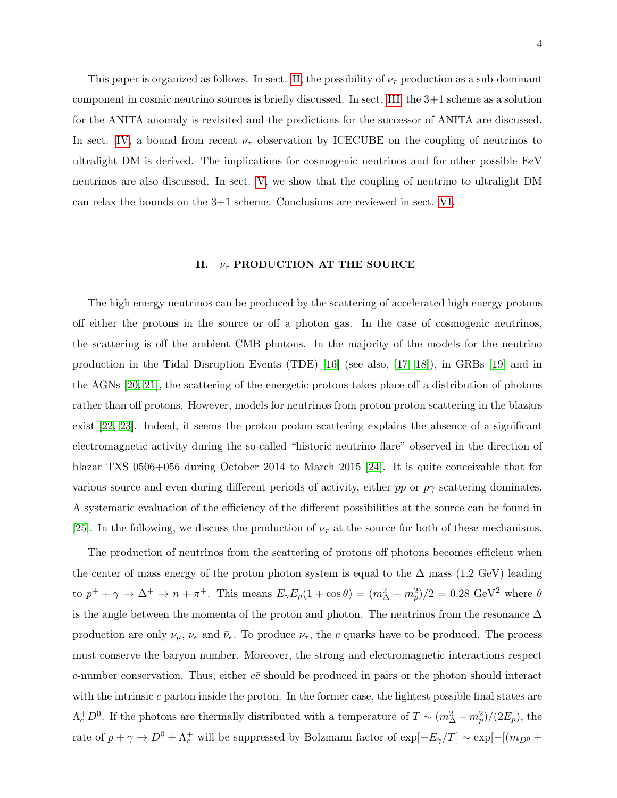This paper is organized as follows. In sect. [II,](#page-3-0) the possibility of  $\nu_{\tau}$  production as a sub-dominant component in cosmic neutrino sources is briefly discussed. In sect. [III,](#page-4-0) the 3+1 scheme as a solution for the ANITA anomaly is revisited and the predictions for the successor of ANITA are discussed. In sect. [IV,](#page-9-0) a bound from recent  $\nu_{\tau}$  observation by ICECUBE on the coupling of neutrinos to ultralight DM is derived. The implications for cosmogenic neutrinos and for other possible EeV neutrinos are also discussed. In sect. [V,](#page-11-0) we show that the coupling of neutrino to ultralight DM can relax the bounds on the 3+1 scheme. Conclusions are reviewed in sect. [VI.](#page-14-0)

### <span id="page-3-0"></span>II.  $\nu_{\tau}$  PRODUCTION AT THE SOURCE

The high energy neutrinos can be produced by the scattering of accelerated high energy protons off either the protons in the source or off a photon gas. In the case of cosmogenic neutrinos, the scattering is off the ambient CMB photons. In the majority of the models for the neutrino production in the Tidal Disruption Events (TDE) [\[16\]](#page-17-3) (see also, [\[17,](#page-17-4) [18\]](#page-17-5)), in GRBs [\[19\]](#page-17-6) and in the AGNs [\[20,](#page-17-7) [21\]](#page-17-8), the scattering of the energetic protons takes place off a distribution of photons rather than off protons. However, models for neutrinos from proton proton scattering in the blazars exist [\[22,](#page-17-9) [23\]](#page-17-10). Indeed, it seems the proton proton scattering explains the absence of a significant electromagnetic activity during the so-called "historic neutrino flare" observed in the direction of blazar TXS 0506+056 during October 2014 to March 2015 [\[24\]](#page-17-11). It is quite conceivable that for various source and even during different periods of activity, either pp or  $p\gamma$  scattering dominates. A systematic evaluation of the efficiency of the different possibilities at the source can be found in [\[25\]](#page-17-12). In the following, we discuss the production of  $\nu_{\tau}$  at the source for both of these mechanisms.

The production of neutrinos from the scattering of protons off photons becomes efficient when the center of mass energy of the proton photon system is equal to the  $\Delta$  mass (1.2 GeV) leading to  $p^+ + \gamma \to \Delta^+ \to n + \pi^+$ . This means  $E_\gamma E_p(1 + \cos \theta) = (m_\Delta^2 - m_p^2)/2 = 0.28 \text{ GeV}^2$  where  $\theta$ is the angle between the momenta of the proton and photon. The neutrinos from the resonance  $\Delta$ production are only  $\nu_{\mu}$ ,  $\nu_{e}$  and  $\bar{\nu}_{e}$ . To produce  $\nu_{\tau}$ , the c quarks have to be produced. The process must conserve the baryon number. Moreover, the strong and electromagnetic interactions respect c-number conservation. Thus, either  $c\bar{c}$  should be produced in pairs or the photon should interact with the intrinsic  $c$  parton inside the proton. In the former case, the lightest possible final states are  $\Lambda_c^+ D^0$ . If the photons are thermally distributed with a temperature of  $T \sim (m_\Delta^2 - m_p^2)/(2E_p)$ , the rate of  $p + \gamma \to D^0 + \Lambda_c^+$  will be suppressed by Bolzmann factor of  $\exp[-E_\gamma/T] \sim \exp[-[(m_{D^0} +$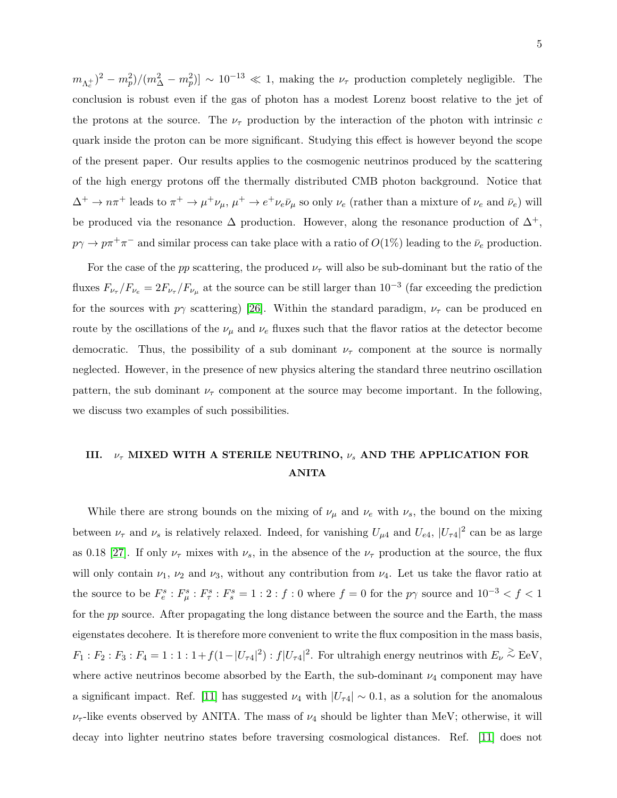$(m_{\Lambda_c^+})^2 - m_p^2/(m_\Delta^2 - m_p^2) \sim 10^{-13} \ll 1$ , making the  $\nu_\tau$  production completely negligible. The conclusion is robust even if the gas of photon has a modest Lorenz boost relative to the jet of the protons at the source. The  $\nu_{\tau}$  production by the interaction of the photon with intrinsic c quark inside the proton can be more significant. Studying this effect is however beyond the scope of the present paper. Our results applies to the cosmogenic neutrinos produced by the scattering of the high energy protons off the thermally distributed CMB photon background. Notice that  $\Delta^+ \to n\pi^+$  leads to  $\pi^+ \to \mu^+\nu_\mu$ ,  $\mu^+ \to e^+\nu_e\bar{\nu}_\mu$  so only  $\nu_e$  (rather than a mixture of  $\nu_e$  and  $\bar{\nu}_e$ ) will be produced via the resonance  $\Delta$  production. However, along the resonance production of  $\Delta^+$ ,  $p\gamma \to p\pi^+\pi^-$  and similar process can take place with a ratio of  $O(1\%)$  leading to the  $\bar{\nu}_e$  production.

For the case of the pp scattering, the produced  $\nu_{\tau}$  will also be sub-dominant but the ratio of the fluxes  $F_{\nu_{\tau}}/F_{\nu_e} = 2F_{\nu_{\tau}}/F_{\nu_{\mu}}$  at the source can be still larger than  $10^{-3}$  (far exceeding the prediction for the sources with  $p\gamma$  scattering) [\[26\]](#page-17-13). Within the standard paradigm,  $\nu_{\tau}$  can be produced en route by the oscillations of the  $\nu_{\mu}$  and  $\nu_{e}$  fluxes such that the flavor ratios at the detector become democratic. Thus, the possibility of a sub dominant  $\nu_{\tau}$  component at the source is normally neglected. However, in the presence of new physics altering the standard three neutrino oscillation pattern, the sub dominant  $\nu_{\tau}$  component at the source may become important. In the following, we discuss two examples of such possibilities.

# <span id="page-4-0"></span>III.  $\nu_{\tau}$  MIXED WITH A STERILE NEUTRINO,  $\nu_{s}$  AND THE APPLICATION FOR ANITA

While there are strong bounds on the mixing of  $\nu_{\mu}$  and  $\nu_{e}$  with  $\nu_{s}$ , the bound on the mixing between  $\nu_{\tau}$  and  $\nu_s$  is relatively relaxed. Indeed, for vanishing  $U_{\mu 4}$  and  $U_{e4}$ ,  $|U_{\tau 4}|^2$  can be as large as 0.18 [\[27\]](#page-17-14). If only  $\nu_{\tau}$  mixes with  $\nu_s$ , in the absence of the  $\nu_{\tau}$  production at the source, the flux will only contain  $\nu_1$ ,  $\nu_2$  and  $\nu_3$ , without any contribution from  $\nu_4$ . Let us take the flavor ratio at the source to be  $F_e^s : F_\mu^s : F_\tau^s : F_s^s = 1 : 2 : f : 0$  where  $f = 0$  for the  $p\gamma$  source and  $10^{-3} < f < 1$ for the pp source. After propagating the long distance between the source and the Earth, the mass eigenstates decohere. It is therefore more convenient to write the flux composition in the mass basis,  $F_1 : F_2 : F_3 : F_4 = 1 : 1 : 1 + f(1-|U_{\tau 4}|^2) : f|U_{\tau 4}|^2$ . For ultrahigh energy neutrinos with  $E_{\nu} \stackrel{\geq}{\sim} \text{EeV}$ , where active neutrinos become absorbed by the Earth, the sub-dominant  $\nu_4$  component may have a significant impact. Ref. [\[11\]](#page-16-10) has suggested  $\nu_4$  with  $|U_{\tau4}| \sim 0.1$ , as a solution for the anomalous  $\nu_{\tau}$ -like events observed by ANITA. The mass of  $\nu_4$  should be lighter than MeV; otherwise, it will decay into lighter neutrino states before traversing cosmological distances. Ref. [\[11\]](#page-16-10) does not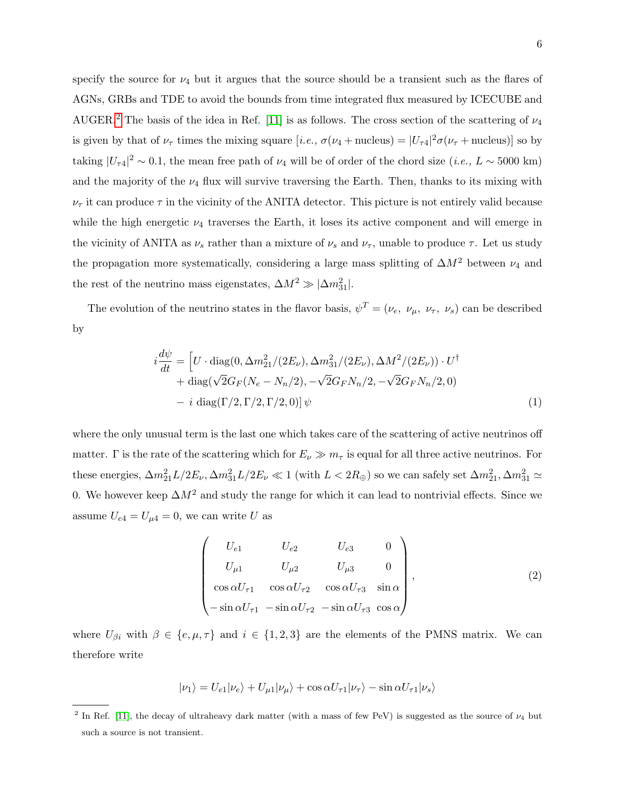specify the source for  $\nu_4$  but it argues that the source should be a transient such as the flares of AGNs, GRBs and TDE to avoid the bounds from time integrated flux measured by ICECUBE and AUGER.<sup>[2](#page-5-0)</sup> The basis of the idea in Ref. [\[11\]](#page-16-10) is as follows. The cross section of the scattering of  $\nu_4$ is given by that of  $\nu_{\tau}$  times the mixing square [*i.e.*,  $\sigma(\nu_4 + \text{nucleus}) = |U_{\tau 4}|^2 \sigma(\nu_{\tau} + \text{nucleus})$ ] so by taking  $|U_{\tau 4}|^2 \sim 0.1$ , the mean free path of  $\nu_4$  will be of order of the chord size  $(i.e., L \sim 5000 \text{ km})$ and the majority of the  $\nu_4$  flux will survive traversing the Earth. Then, thanks to its mixing with  $\nu_{\tau}$  it can produce  $\tau$  in the vicinity of the ANITA detector. This picture is not entirely valid because while the high energetic  $\nu_4$  traverses the Earth, it loses its active component and will emerge in the vicinity of ANITA as  $\nu_s$  rather than a mixture of  $\nu_s$  and  $\nu_{\tau}$ , unable to produce  $\tau$ . Let us study the propagation more systematically, considering a large mass splitting of  $\Delta M^2$  between  $\nu_4$  and the rest of the neutrino mass eigenstates,  $\Delta M^2 \gg |\Delta m^2_{31}|$ .

The evolution of the neutrino states in the flavor basis,  $\psi^T = (\nu_e, \nu_\mu, \nu_\tau, \nu_s)$  can be described by

$$
i\frac{d\psi}{dt} = \left[ U \cdot \text{diag}(0, \Delta m_{21}^2 / (2E_\nu), \Delta m_{31}^2 / (2E_\nu), \Delta M^2 / (2E_\nu)) \cdot U^\dagger \right. \\
\left. + \text{diag}(\sqrt{2}G_F (N_e - N_n/2), -\sqrt{2}G_F N_n/2, -\sqrt{2}G_F N_n/2, 0) \right. \\
\left. - i \text{ diag}(\Gamma/2, \Gamma/2, \Gamma/2, 0) \right] \psi \tag{1}
$$

where the only unusual term is the last one which takes care of the scattering of active neutrinos off matter. Γ is the rate of the scattering which for  $E_\nu \gg m_\tau$  is equal for all three active neutrinos. For these energies,  $\Delta m_{21}^2 L/2E_\nu, \Delta m_{31}^2 L/2E_\nu \ll 1$  (with  $L < 2R_\oplus$ ) so we can safely set  $\Delta m_{21}^2, \Delta m_{31}^2 \simeq$ 0. We however keep  $\Delta M^2$  and study the range for which it can lead to nontrivial effects. Since we assume  $U_{e4} = U_{\mu 4} = 0$ , we can write U as

$$
\begin{pmatrix}\nU_{e1} & U_{e2} & U_{e3} & 0 \\
U_{\mu 1} & U_{\mu 2} & U_{\mu 3} & 0 \\
\cos \alpha U_{\tau 1} & \cos \alpha U_{\tau 2} & \cos \alpha U_{\tau 3} & \sin \alpha \\
-\sin \alpha U_{\tau 1} & -\sin \alpha U_{\tau 2} & -\sin \alpha U_{\tau 3} & \cos \alpha\n\end{pmatrix},
$$
\n(2)

where  $U_{\beta i}$  with  $\beta \in \{e, \mu, \tau\}$  and  $i \in \{1, 2, 3\}$  are the elements of the PMNS matrix. We can therefore write

$$
|\nu_1\rangle = U_{e1}|\nu_e\rangle + U_{\mu 1}|\nu_\mu\rangle + \cos\alpha U_{\tau 1}|\nu_\tau\rangle - \sin\alpha U_{\tau 1}|\nu_s\rangle
$$

<span id="page-5-0"></span><sup>&</sup>lt;sup>2</sup> In Ref. [\[11\]](#page-16-10), the decay of ultraheavy dark matter (with a mass of few PeV) is suggested as the source of  $\nu_4$  but such a source is not transient.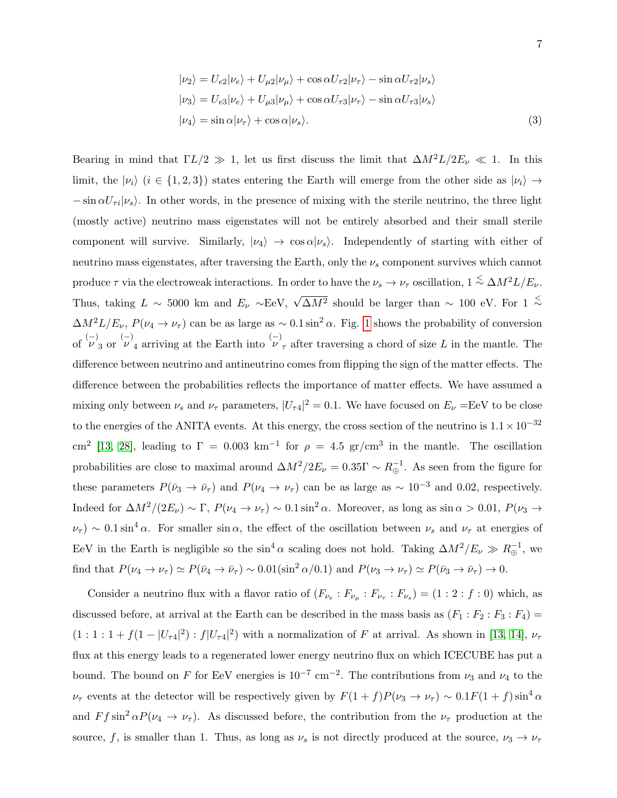$$
|\nu_2\rangle = U_{e2}|\nu_e\rangle + U_{\mu 2}|\nu_\mu\rangle + \cos \alpha U_{\tau 2}|\nu_\tau\rangle - \sin \alpha U_{\tau 2}|\nu_s\rangle
$$
  
\n
$$
|\nu_3\rangle = U_{e3}|\nu_e\rangle + U_{\mu 3}|\nu_\mu\rangle + \cos \alpha U_{\tau 3}|\nu_\tau\rangle - \sin \alpha U_{\tau 3}|\nu_s\rangle
$$
  
\n
$$
|\nu_4\rangle = \sin \alpha|\nu_\tau\rangle + \cos \alpha|\nu_s\rangle.
$$
 (3)

Bearing in mind that  $\Gamma L/2 \gg 1$ , let us first discuss the limit that  $\Delta M^2 L/2E_\nu \ll 1$ . In this limit, the  $|\nu_i\rangle$  ( $i \in \{1,2,3\}$ ) states entering the Earth will emerge from the other side as  $|\nu_i\rangle \rightarrow$  $-\sin \alpha U_{\tau i}|\nu_{s}\rangle$ . In other words, in the presence of mixing with the sterile neutrino, the three light (mostly active) neutrino mass eigenstates will not be entirely absorbed and their small sterile component will survive. Similarly,  $|\nu_4\rangle \rightarrow \cos \alpha |\nu_s\rangle$ . Independently of starting with either of neutrino mass eigenstates, after traversing the Earth, only the  $\nu_s$  component survives which cannot produce  $\tau$  via the electroweak interactions. In order to have the  $\nu_s \to \nu_\tau$  oscillation,  $1 \stackrel{<}{\sim} \Delta M^2 L/E_\nu$ . Thus, taking  $L \sim 5000$  km and  $E_{\nu} \sim \text{EeV}$ ,  $\sqrt{\Delta M^2}$  should be larger than ~ 100 eV. For 1  $\stackrel{\leq}{\sim}$  $\Delta M^2 L/E_\nu$ ,  $P(\nu_4 \to \nu_\tau)$  can be as large as ~ 0.1 sin<sup>2</sup>  $\alpha$ . Fig. [1](#page-7-0) shows the probability of conversion of  $\overset{(-)}{\nu}_3$  or  $\overset{(-)}{\nu}_4$  arriving at the Earth into  $\overset{(-)}{\nu}_7$  after traversing a chord of size L in the mantle. The difference between neutrino and antineutrino comes from flipping the sign of the matter effects. The difference between the probabilities reflects the importance of matter effects. We have assumed a mixing only between  $\nu_s$  and  $\nu_\tau$  parameters,  $|U_{\tau 4}|^2 = 0.1$ . We have focused on  $E_\nu = \text{EeV}$  to be close to the energies of the ANITA events. At this energy, the cross section of the neutrino is  $1.1 \times 10^{-32}$ cm<sup>2</sup> [\[13,](#page-17-0) [28\]](#page-17-15), leading to  $\Gamma = 0.003 \text{ km}^{-1}$  for  $\rho = 4.5 \text{ gr/cm}^3$  in the mantle. The oscillation probabilities are close to maximal around  $\Delta M^2/2E_\nu = 0.35\Gamma \sim R_\oplus^{-1}$ . As seen from the figure for these parameters  $P(\bar{\nu}_3 \to \bar{\nu}_7)$  and  $P(\nu_4 \to \nu_7)$  can be as large as ~ 10<sup>-3</sup> and 0.02, respectively. Indeed for  $\Delta M^2/(2E_\nu) \sim \Gamma$ ,  $P(\nu_4 \to \nu_\tau) \sim 0.1 \sin^2 \alpha$ . Moreover, as long as  $\sin \alpha > 0.01$ ,  $P(\nu_3 \to \nu_\tau)$  $\nu_{\tau}$ ) ~ 0.1 sin<sup>4</sup>  $\alpha$ . For smaller sin  $\alpha$ , the effect of the oscillation between  $\nu_s$  and  $\nu_{\tau}$  at energies of EeV in the Earth is negligible so the  $\sin^4 \alpha$  scaling does not hold. Taking  $\Delta M^2/E_\nu \gg R_\oplus^{-1}$ , we find that  $P(\nu_4 \to \nu_\tau) \simeq P(\bar{\nu}_4 \to \bar{\nu}_\tau) \sim 0.01(\sin^2 \alpha/0.1)$  and  $P(\nu_3 \to \nu_\tau) \simeq P(\bar{\nu}_3 \to \bar{\nu}_\tau) \to 0.$ 

Consider a neutrino flux with a flavor ratio of  $(F_{\nu_e}: F_{\nu_\mu}: F_{\nu_\tau}: F_{\nu_s}) = (1:2: f:0)$  which, as discussed before, at arrival at the Earth can be described in the mass basis as  $(F_1 : F_2 : F_3 : F_4)$  =  $(1:1:1+f(1-|U_{\tau 4}|^2):f|U_{\tau 4}|^2)$  with a normalization of F at arrival. As shown in [\[13,](#page-17-0) [14\]](#page-17-1),  $\nu_{\tau}$ flux at this energy leads to a regenerated lower energy neutrino flux on which ICECUBE has put a bound. The bound on F for EeV energies is  $10^{-7}$  cm<sup>-2</sup>. The contributions from  $\nu_3$  and  $\nu_4$  to the  $\nu_{\tau}$  events at the detector will be respectively given by  $F(1+f)P(\nu_3 \to \nu_{\tau}) \sim 0.1F(1+f)\sin^4 \alpha$ and  $F f \sin^2 \alpha P(\nu_4 \to \nu_\tau)$ . As discussed before, the contribution from the  $\nu_\tau$  production at the source, f, is smaller than 1. Thus, as long as  $\nu_s$  is not directly produced at the source,  $\nu_3 \to \nu_\tau$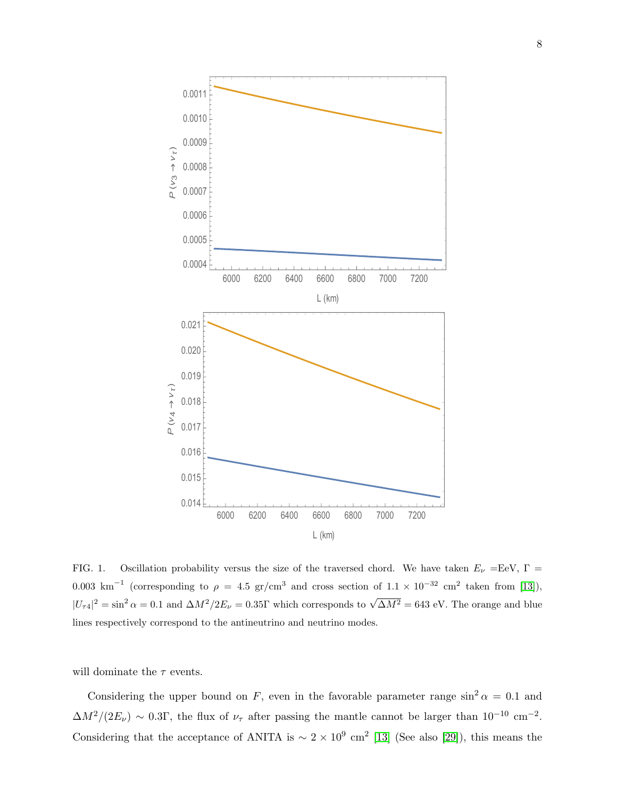

<span id="page-7-0"></span>FIG. 1. Oscillation probability versus the size of the traversed chord. We have taken  $E_{\nu} = \text{EeV}$ ,  $\Gamma =$ 0.003 km<sup>-1</sup> (corresponding to  $\rho = 4.5$  gr/cm<sup>3</sup> and cross section of  $1.1 \times 10^{-32}$  cm<sup>2</sup> taken from [\[13\]](#page-17-0)),  $|U_{\tau 4}|^2 = \sin^2 \alpha = 0.1$  and  $\Delta M^2 / 2E_\nu = 0.35\Gamma$  which corresponds to  $\sqrt{\Delta M^2} = 643$  eV. The orange and blue lines respectively correspond to the antineutrino and neutrino modes.

will dominate the  $\tau$  events.

Considering the upper bound on F, even in the favorable parameter range  $\sin^2 \alpha = 0.1$  and  $\Delta M^2/(2E_\nu) \sim 0.3\Gamma$ , the flux of  $\nu_\tau$  after passing the mantle cannot be larger than  $10^{-10}$  cm<sup>-2</sup>. Considering that the acceptance of ANITA is  $\sim 2 \times 10^9$  cm<sup>2</sup> [\[13\]](#page-17-0) (See also [\[29\]](#page-17-16)), this means the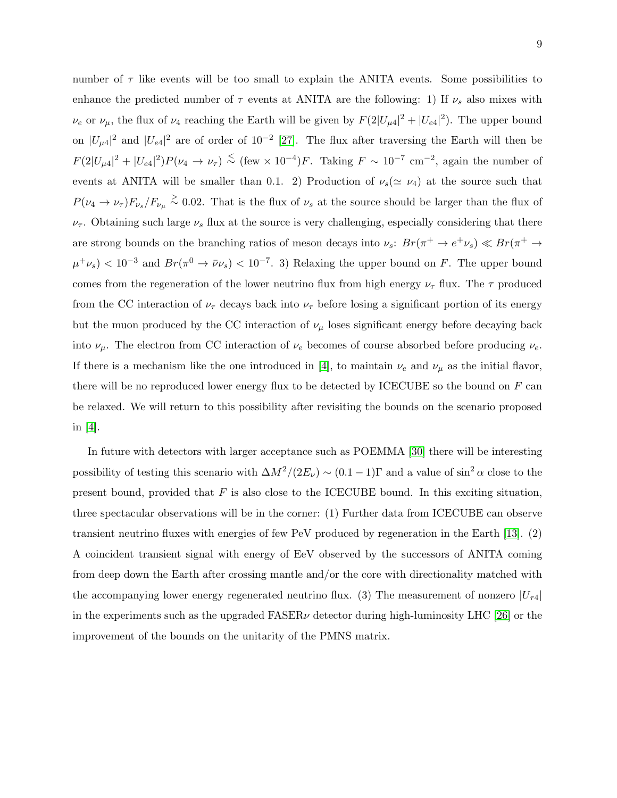number of  $\tau$  like events will be too small to explain the ANITA events. Some possibilities to enhance the predicted number of  $\tau$  events at ANITA are the following: 1) If  $\nu_s$  also mixes with  $\nu_e$  or  $\nu_\mu$ , the flux of  $\nu_4$  reaching the Earth will be given by  $F(2|U_{\mu 4}|^2 + |U_{e4}|^2)$ . The upper bound on  $|U_{\mu 4}|^2$  and  $|U_{e4}|^2$  are of order of  $10^{-2}$  [\[27\]](#page-17-14). The flux after traversing the Earth will then be  $F(2|U_{\mu 4}|^2 + |U_{e4}|^2)P(\nu_4 \to \nu_\tau) \stackrel{<}{\sim} (\text{few} \times 10^{-4})F$ . Taking  $F \sim 10^{-7}$  cm<sup>-2</sup>, again the number of events at ANITA will be smaller than 0.1. 2) Production of  $\nu_s(\simeq \nu_4)$  at the source such that  $P(\nu_4 \to \nu_\tau) F_{\nu_s} / F_{\nu_\mu} \stackrel{>}{\sim} 0.02$ . That is the flux of  $\nu_s$  at the source should be larger than the flux of  $\nu_{\tau}$ . Obtaining such large  $\nu_{s}$  flux at the source is very challenging, especially considering that there are strong bounds on the branching ratios of meson decays into  $\nu_s$ :  $Br(\pi^+ \to e^+ \nu_s) \ll Br(\pi^+ \to e^- \nu_s)$  $\mu^+\nu_s$  < 10<sup>-3</sup> and  $Br(\pi^0 \to \bar{\nu}\nu_s)$  < 10<sup>-7</sup>. 3) Relaxing the upper bound on F. The upper bound comes from the regeneration of the lower neutrino flux from high energy  $\nu_{\tau}$  flux. The  $\tau$  produced from the CC interaction of  $\nu_{\tau}$  decays back into  $\nu_{\tau}$  before losing a significant portion of its energy but the muon produced by the CC interaction of  $\nu_{\mu}$  loses significant energy before decaying back into  $\nu_{\mu}$ . The electron from CC interaction of  $\nu_e$  becomes of course absorbed before producing  $\nu_e$ . If there is a mechanism like the one introduced in [\[4\]](#page-16-3), to maintain  $\nu_e$  and  $\nu_\mu$  as the initial flavor, there will be no reproduced lower energy flux to be detected by ICECUBE so the bound on  $F$  can be relaxed. We will return to this possibility after revisiting the bounds on the scenario proposed in [\[4\]](#page-16-3).

In future with detectors with larger acceptance such as POEMMA [\[30\]](#page-17-17) there will be interesting possibility of testing this scenario with  $\Delta M^2/(2E_\nu) \sim (0.1-1)\Gamma$  and a value of sin<sup>2</sup>  $\alpha$  close to the present bound, provided that  $F$  is also close to the ICECUBE bound. In this exciting situation, three spectacular observations will be in the corner: (1) Further data from ICECUBE can observe transient neutrino fluxes with energies of few PeV produced by regeneration in the Earth [\[13\]](#page-17-0). (2) A coincident transient signal with energy of EeV observed by the successors of ANITA coming from deep down the Earth after crossing mantle and/or the core with directionality matched with the accompanying lower energy regenerated neutrino flux. (3) The measurement of nonzero  $|U_{\tau4}|$ in the experiments such as the upgraded  $FASER\nu$  detector during high-luminosity LHC [\[26\]](#page-17-13) or the improvement of the bounds on the unitarity of the PMNS matrix.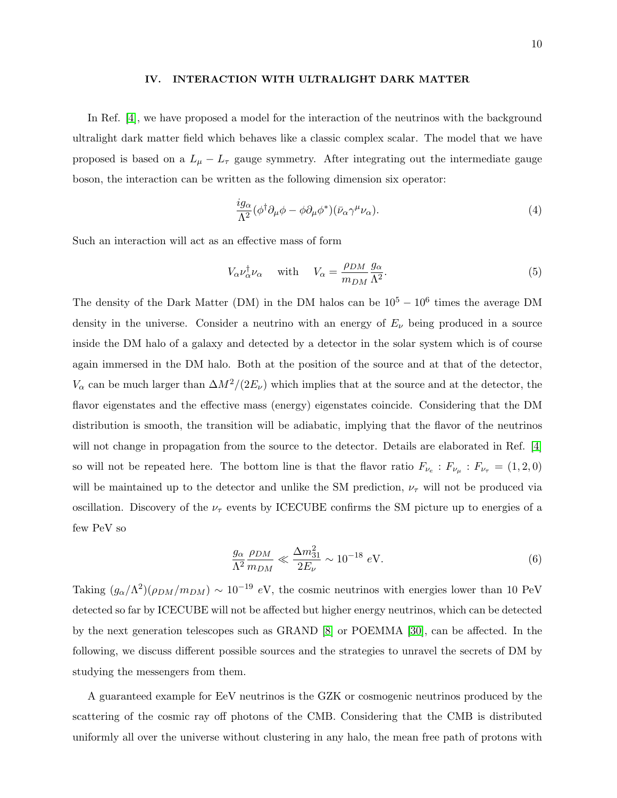#### <span id="page-9-0"></span>IV. INTERACTION WITH ULTRALIGHT DARK MATTER

In Ref. [\[4\]](#page-16-3), we have proposed a model for the interaction of the neutrinos with the background ultralight dark matter field which behaves like a classic complex scalar. The model that we have proposed is based on a  $L_{\mu} - L_{\tau}$  gauge symmetry. After integrating out the intermediate gauge boson, the interaction can be written as the following dimension six operator:

<span id="page-9-2"></span>
$$
\frac{i g_{\alpha}}{\Lambda^{2}} (\phi^{\dagger} \partial_{\mu} \phi - \phi \partial_{\mu} \phi^{*}) (\bar{\nu}_{\alpha} \gamma^{\mu} \nu_{\alpha}). \tag{4}
$$

Such an interaction will act as an effective mass of form

$$
V_{\alpha} \nu_{\alpha}^{\dagger} \nu_{\alpha} \quad \text{with} \quad V_{\alpha} = \frac{\rho_{DM}}{m_{DM}} \frac{g_{\alpha}}{\Lambda^2}.
$$
 (5)

The density of the Dark Matter (DM) in the DM halos can be  $10^5 - 10^6$  times the average DM density in the universe. Consider a neutrino with an energy of  $E<sub>\nu</sub>$  being produced in a source inside the DM halo of a galaxy and detected by a detector in the solar system which is of course again immersed in the DM halo. Both at the position of the source and at that of the detector,  $V_{\alpha}$  can be much larger than  $\Delta M^2/(2E_{\nu})$  which implies that at the source and at the detector, the flavor eigenstates and the effective mass (energy) eigenstates coincide. Considering that the DM distribution is smooth, the transition will be adiabatic, implying that the flavor of the neutrinos will not change in propagation from the source to the detector. Details are elaborated in Ref. [\[4\]](#page-16-3) so will not be repeated here. The bottom line is that the flavor ratio  $F_{\nu_e}: F_{\nu_\mu}: F_{\nu_\tau} = (1, 2, 0)$ will be maintained up to the detector and unlike the SM prediction,  $\nu_{\tau}$  will not be produced via oscillation. Discovery of the  $\nu_{\tau}$  events by ICECUBE confirms the SM picture up to energies of a few PeV so

<span id="page-9-1"></span>
$$
\frac{g_{\alpha}}{\Lambda^2} \frac{\rho_{DM}}{m_{DM}} \ll \frac{\Delta m_{31}^2}{2E_{\nu}} \sim 10^{-18} \text{ eV}.
$$
 (6)

Taking  $(g_{\alpha}/\Lambda^2)(\rho_{DM}/m_{DM}) \sim 10^{-19}$  eV, the cosmic neutrinos with energies lower than 10 PeV detected so far by ICECUBE will not be affected but higher energy neutrinos, which can be detected by the next generation telescopes such as GRAND [\[8\]](#page-16-7) or POEMMA [\[30\]](#page-17-17), can be affected. In the following, we discuss different possible sources and the strategies to unravel the secrets of DM by studying the messengers from them.

A guaranteed example for EeV neutrinos is the GZK or cosmogenic neutrinos produced by the scattering of the cosmic ray off photons of the CMB. Considering that the CMB is distributed uniformly all over the universe without clustering in any halo, the mean free path of protons with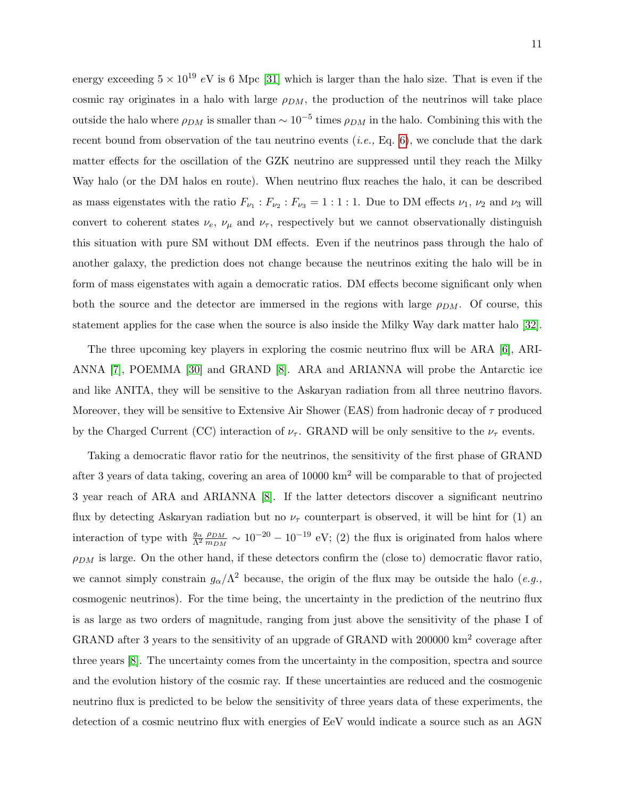energy exceeding  $5 \times 10^{19}$  eV is 6 Mpc [\[31\]](#page-18-0) which is larger than the halo size. That is even if the cosmic ray originates in a halo with large  $\rho_{DM}$ , the production of the neutrinos will take place outside the halo where  $\rho_{DM}$  is smaller than  $\sim 10^{-5}$  times  $\rho_{DM}$  in the halo. Combining this with the recent bound from observation of the tau neutrino events  $(i.e., Eq. 6)$  $(i.e., Eq. 6)$ , we conclude that the dark matter effects for the oscillation of the GZK neutrino are suppressed until they reach the Milky Way halo (or the DM halos en route). When neutrino flux reaches the halo, it can be described as mass eigenstates with the ratio  $F_{\nu_1}$ :  $F_{\nu_2}$ :  $F_{\nu_3} = 1 : 1 : 1$ . Due to DM effects  $\nu_1$ ,  $\nu_2$  and  $\nu_3$  will convert to coherent states  $\nu_e$ ,  $\nu_\mu$  and  $\nu_\tau$ , respectively but we cannot observationally distinguish this situation with pure SM without DM effects. Even if the neutrinos pass through the halo of another galaxy, the prediction does not change because the neutrinos exiting the halo will be in form of mass eigenstates with again a democratic ratios. DM effects become significant only when both the source and the detector are immersed in the regions with large  $\rho_{DM}$ . Of course, this statement applies for the case when the source is also inside the Milky Way dark matter halo [\[32\]](#page-18-1).

The three upcoming key players in exploring the cosmic neutrino flux will be ARA [\[6\]](#page-16-5), ARI-ANNA [\[7\]](#page-16-6), POEMMA [\[30\]](#page-17-17) and GRAND [\[8\]](#page-16-7). ARA and ARIANNA will probe the Antarctic ice and like ANITA, they will be sensitive to the Askaryan radiation from all three neutrino flavors. Moreover, they will be sensitive to Extensive Air Shower (EAS) from hadronic decay of  $\tau$  produced by the Charged Current (CC) interaction of  $\nu_{\tau}$ . GRAND will be only sensitive to the  $\nu_{\tau}$  events.

Taking a democratic flavor ratio for the neutrinos, the sensitivity of the first phase of GRAND after 3 years of data taking, covering an area of 10000 km<sup>2</sup> will be comparable to that of projected 3 year reach of ARA and ARIANNA [\[8\]](#page-16-7). If the latter detectors discover a significant neutrino flux by detecting Askaryan radiation but no  $\nu_{\tau}$  counterpart is observed, it will be hint for (1) an interaction of type with  $\frac{g_{\alpha}}{\Lambda^2}$  $\rho_{DM}$  $\frac{\rho_{DM}}{m_{DM}} \sim 10^{-20} - 10^{-19}$  eV; (2) the flux is originated from halos where  $\rho_{DM}$  is large. On the other hand, if these detectors confirm the (close to) democratic flavor ratio, we cannot simply constrain  $g_{\alpha}/\Lambda^2$  because, the origin of the flux may be outside the halo (*e.g.*, cosmogenic neutrinos). For the time being, the uncertainty in the prediction of the neutrino flux is as large as two orders of magnitude, ranging from just above the sensitivity of the phase I of GRAND after 3 years to the sensitivity of an upgrade of GRAND with 200000 km<sup>2</sup> coverage after three years [\[8\]](#page-16-7). The uncertainty comes from the uncertainty in the composition, spectra and source and the evolution history of the cosmic ray. If these uncertainties are reduced and the cosmogenic neutrino flux is predicted to be below the sensitivity of three years data of these experiments, the detection of a cosmic neutrino flux with energies of EeV would indicate a source such as an AGN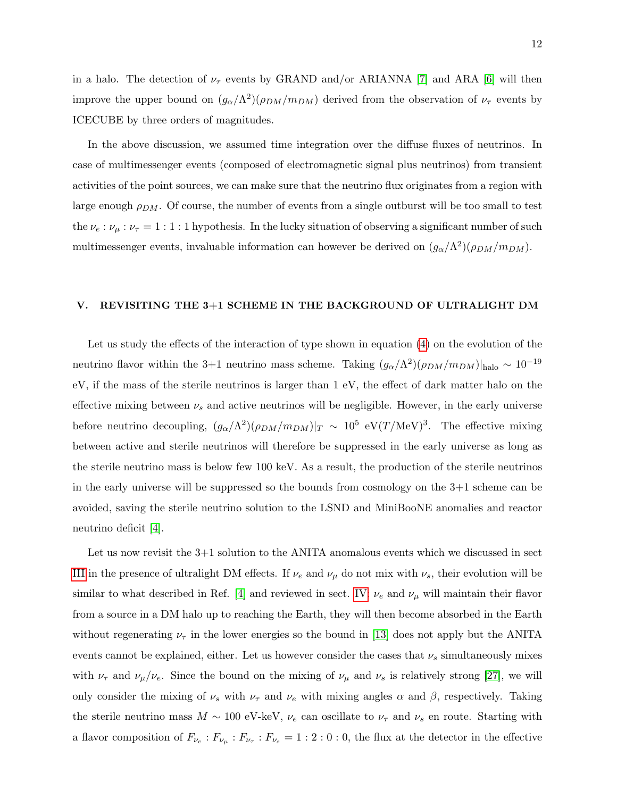in a halo. The detection of  $\nu_{\tau}$  events by GRAND and/or ARIANNA [\[7\]](#page-16-6) and ARA [\[6\]](#page-16-5) will then improve the upper bound on  $(g_{\alpha}/\Lambda^2)(\rho_{DM}/m_{DM})$  derived from the observation of  $\nu_{\tau}$  events by ICECUBE by three orders of magnitudes.

In the above discussion, we assumed time integration over the diffuse fluxes of neutrinos. In case of multimessenger events (composed of electromagnetic signal plus neutrinos) from transient activities of the point sources, we can make sure that the neutrino flux originates from a region with large enough  $\rho_{DM}$ . Of course, the number of events from a single outburst will be too small to test the  $\nu_e : \nu_\mu : \nu_\tau = 1 : 1 : 1$  hypothesis. In the lucky situation of observing a significant number of such multimessenger events, invaluable information can however be derived on  $(g_{\alpha}/\Lambda^2)(\rho_{DM}/m_{DM})$ .

## <span id="page-11-0"></span>V. REVISITING THE 3+1 SCHEME IN THE BACKGROUND OF ULTRALIGHT DM

Let us study the effects of the interaction of type shown in equation [\(4\)](#page-9-2) on the evolution of the neutrino flavor within the 3+1 neutrino mass scheme. Taking  $(g_{\alpha}/\Lambda^2)(\rho_{DM}/m_{DM})|_{\text{halo}} \sim 10^{-19}$ eV, if the mass of the sterile neutrinos is larger than 1 eV, the effect of dark matter halo on the effective mixing between  $\nu_s$  and active neutrinos will be negligible. However, in the early universe before neutrino decoupling,  $(g_{\alpha}/\Lambda^2)(\rho_{DM}/m_{DM})|_T \sim 10^5 \text{ eV}(T/\text{MeV})^3$ . The effective mixing between active and sterile neutrinos will therefore be suppressed in the early universe as long as the sterile neutrino mass is below few 100 keV. As a result, the production of the sterile neutrinos in the early universe will be suppressed so the bounds from cosmology on the 3+1 scheme can be avoided, saving the sterile neutrino solution to the LSND and MiniBooNE anomalies and reactor neutrino deficit [\[4\]](#page-16-3).

Let us now revisit the 3+1 solution to the ANITA anomalous events which we discussed in sect [III](#page-4-0) in the presence of ultralight DM effects. If  $\nu_e$  and  $\nu_\mu$  do not mix with  $\nu_s$ , their evolution will be similar to what described in Ref. [\[4\]](#page-16-3) and reviewed in sect. [IV:](#page-9-0)  $\nu_e$  and  $\nu_\mu$  will maintain their flavor from a source in a DM halo up to reaching the Earth, they will then become absorbed in the Earth without regenerating  $\nu_{\tau}$  in the lower energies so the bound in [\[13\]](#page-17-0) does not apply but the ANITA events cannot be explained, either. Let us however consider the cases that  $\nu_s$  simultaneously mixes with  $\nu_{\tau}$  and  $\nu_{\mu}/\nu_e$ . Since the bound on the mixing of  $\nu_{\mu}$  and  $\nu_s$  is relatively strong [\[27\]](#page-17-14), we will only consider the mixing of  $\nu_s$  with  $\nu_{\tau}$  and  $\nu_e$  with mixing angles  $\alpha$  and  $\beta$ , respectively. Taking the sterile neutrino mass  $M \sim 100$  eV-keV,  $\nu_e$  can oscillate to  $\nu_{\tau}$  and  $\nu_s$  en route. Starting with a flavor composition of  $F_{\nu_e}: F_{\nu_\mu}: F_{\nu_\tau}: F_{\nu_s} = 1:2:0:0$ , the flux at the detector in the effective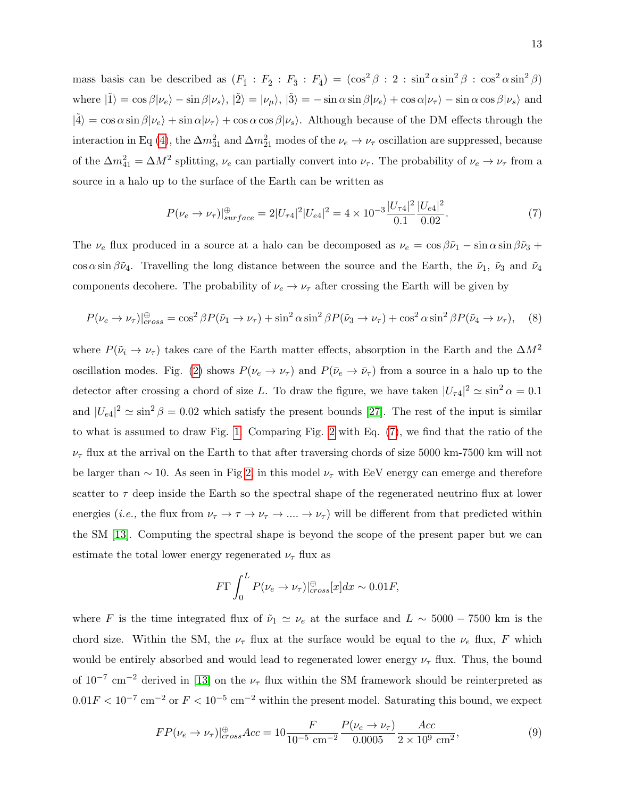mass basis can be described as  $(F_1 : F_2 : F_3 : F_4) = (\cos^2 \beta : 2 : \sin^2 \alpha \sin^2 \beta : \cos^2 \alpha \sin^2 \beta)$ where  $|\tilde{1}\rangle = \cos \beta |\nu_e\rangle - \sin \beta |\nu_s\rangle$ ,  $|\tilde{2}\rangle = |\nu_\mu\rangle$ ,  $|\tilde{3}\rangle = -\sin \alpha \sin \beta |\nu_e\rangle + \cos \alpha |\nu_\tau\rangle - \sin \alpha \cos \beta |\nu_s\rangle$  and  $|\tilde{4}\rangle = \cos \alpha \sin \beta |\nu_e\rangle + \sin \alpha |\nu_\tau\rangle + \cos \alpha \cos \beta |\nu_s\rangle$ . Although because of the DM effects through the interaction in Eq [\(4\)](#page-9-2), the  $\Delta m_{31}^2$  and  $\Delta m_{21}^2$  modes of the  $\nu_e \to \nu_\tau$  oscillation are suppressed, because of the  $\Delta m_{41}^2 = \Delta M^2$  splitting,  $\nu_e$  can partially convert into  $\nu_{\tau}$ . The probability of  $\nu_e \to \nu_{\tau}$  from a source in a halo up to the surface of the Earth can be written as

<span id="page-12-0"></span>
$$
P(\nu_e \to \nu_\tau)|_{surface}^{\oplus} = 2|U_{\tau 4}|^2|U_{e4}|^2 = 4 \times 10^{-3} \frac{|U_{\tau 4}|^2}{0.1} \frac{|U_{e4}|^2}{0.02}.
$$
 (7)

The  $\nu_e$  flux produced in a source at a halo can be decomposed as  $\nu_e = \cos \beta \tilde{\nu}_1 - \sin \alpha \sin \beta \tilde{\nu}_3 +$ cos  $\alpha$  sin  $\beta\tilde{\nu}_4$ . Travelling the long distance between the source and the Earth, the  $\tilde{\nu}_1$ ,  $\tilde{\nu}_3$  and  $\tilde{\nu}_4$ components decohere. The probability of  $\nu_e \rightarrow \nu_\tau$  after crossing the Earth will be given by

$$
P(\nu_e \to \nu_\tau)|_{cross}^{\oplus} = \cos^2 \beta P(\tilde{\nu}_1 \to \nu_\tau) + \sin^2 \alpha \sin^2 \beta P(\tilde{\nu}_3 \to \nu_\tau) + \cos^2 \alpha \sin^2 \beta P(\tilde{\nu}_4 \to \nu_\tau), \quad (8)
$$

where  $P(\tilde{\nu}_i \to \nu_\tau)$  takes care of the Earth matter effects, absorption in the Earth and the  $\Delta M^2$ oscillation modes. Fig. [\(2\)](#page-13-0) shows  $P(\nu_e \to \nu_\tau)$  and  $P(\bar{\nu}_e \to \bar{\nu}_\tau)$  from a source in a halo up to the detector after crossing a chord of size L. To draw the figure, we have taken  $|U_{\tau 4}|^2 \simeq \sin^2 \alpha = 0.1$ and  $|U_{e4}|^2 \simeq \sin^2 \beta = 0.02$  which satisfy the present bounds [\[27\]](#page-17-14). The rest of the input is similar to what is assumed to draw Fig. [1.](#page-7-0) Comparing Fig. [2](#page-13-0) with Eq. [\(7\)](#page-12-0), we find that the ratio of the  $\nu_{\tau}$  flux at the arrival on the Earth to that after traversing chords of size 5000 km-7500 km will not be larger than  $\sim$  10. As seen in Fig [2,](#page-13-0) in this model  $\nu_{\tau}$  with EeV energy can emerge and therefore scatter to  $\tau$  deep inside the Earth so the spectral shape of the regenerated neutrino flux at lower energies (*i.e.*, the flux from  $\nu_{\tau} \to \tau \to \nu_{\tau} \to \dots \to \nu_{\tau}$ ) will be different from that predicted within the SM [\[13\]](#page-17-0). Computing the spectral shape is beyond the scope of the present paper but we can estimate the total lower energy regenerated  $\nu_{\tau}$  flux as

$$
F\Gamma \int_0^L P(\nu_e \to \nu_\tau)|_{cross}^{\oplus}[x]dx \sim 0.01F,
$$

where F is the time integrated flux of  $\tilde{\nu}_1 \simeq \nu_e$  at the surface and  $L \sim 5000 - 7500$  km is the chord size. Within the SM, the  $\nu_{\tau}$  flux at the surface would be equal to the  $\nu_e$  flux, F which would be entirely absorbed and would lead to regenerated lower energy  $\nu_{\tau}$  flux. Thus, the bound of  $10^{-7}$  cm<sup>-2</sup> derived in [\[13\]](#page-17-0) on the  $\nu_{\tau}$  flux within the SM framework should be reinterpreted as  $0.01F < 10^{-7}$  cm<sup>-2</sup> or  $F < 10^{-5}$  cm<sup>-2</sup> within the present model. Saturating this bound, we expect

$$
FP(\nu_e \to \nu_\tau)|_{cross}^{\oplus} Acc = 10 \frac{F}{10^{-5} \text{ cm}^{-2}} \frac{P(\nu_e \to \nu_\tau)}{0.0005} \frac{Acc}{2 \times 10^9 \text{ cm}^2},\tag{9}
$$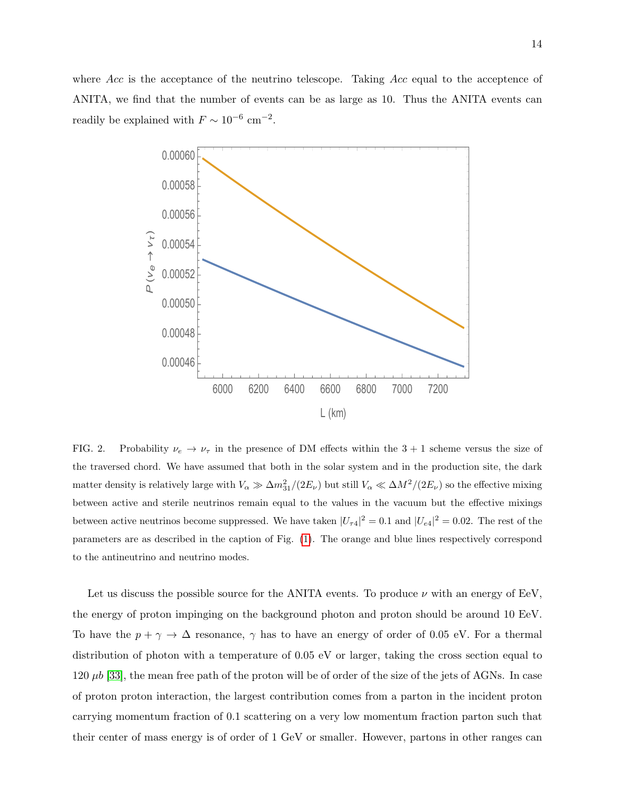where Acc is the acceptance of the neutrino telescope. Taking Acc equal to the acceptence of ANITA, we find that the number of events can be as large as 10. Thus the ANITA events can readily be explained with  $F \sim 10^{-6}$  cm<sup>-2</sup>.



<span id="page-13-0"></span>FIG. 2. Probability  $\nu_e \rightarrow \nu_\tau$  in the presence of DM effects within the 3 + 1 scheme versus the size of the traversed chord. We have assumed that both in the solar system and in the production site, the dark matter density is relatively large with  $V_\alpha \gg \Delta m_{31}^2/(2E_\nu)$  but still  $V_\alpha \ll \Delta M^2/(2E_\nu)$  so the effective mixing between active and sterile neutrinos remain equal to the values in the vacuum but the effective mixings between active neutrinos become suppressed. We have taken  $|U_{\tau 4}|^2 = 0.1$  and  $|U_{e4}|^2 = 0.02$ . The rest of the parameters are as described in the caption of Fig. [\(1\)](#page-7-0). The orange and blue lines respectively correspond to the antineutrino and neutrino modes.

Let us discuss the possible source for the ANITA events. To produce  $\nu$  with an energy of EeV, the energy of proton impinging on the background photon and proton should be around 10 EeV. To have the  $p + \gamma \rightarrow \Delta$  resonance,  $\gamma$  has to have an energy of order of 0.05 eV. For a thermal distribution of photon with a temperature of 0.05 eV or larger, taking the cross section equal to 120  $\mu b$  [\[33\]](#page-18-2), the mean free path of the proton will be of order of the size of the jets of AGNs. In case of proton proton interaction, the largest contribution comes from a parton in the incident proton carrying momentum fraction of 0.1 scattering on a very low momentum fraction parton such that their center of mass energy is of order of 1 GeV or smaller. However, partons in other ranges can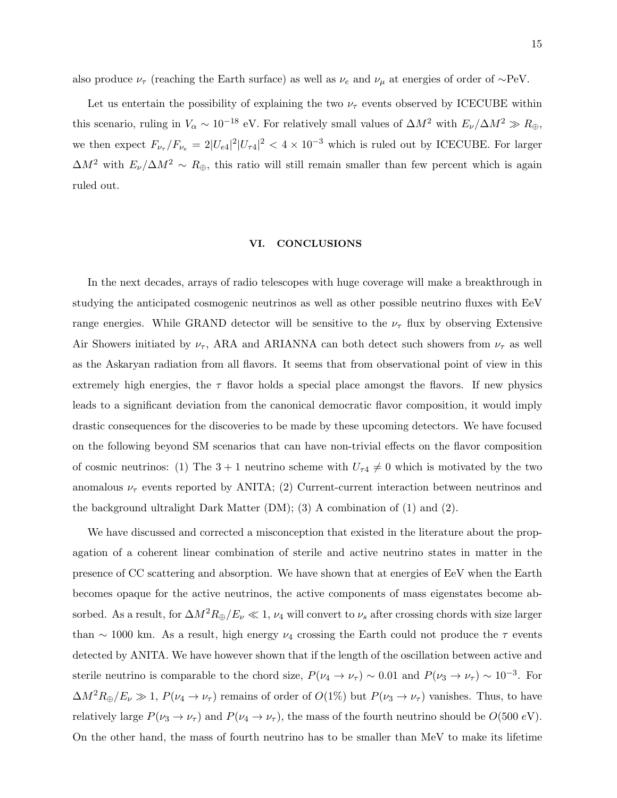also produce  $\nu_{\tau}$  (reaching the Earth surface) as well as  $\nu_e$  and  $\nu_{\mu}$  at energies of order of ∼PeV.

Let us entertain the possibility of explaining the two  $\nu_{\tau}$  events observed by ICECUBE within this scenario, ruling in  $V_{\alpha} \sim 10^{-18}$  eV. For relatively small values of  $\Delta M^2$  with  $E_{\nu}/\Delta M^2 \gg R_{\oplus}$ , we then expect  $F_{\nu_{\tau}}/F_{\nu_e} = 2|U_{e4}|^2|U_{\tau 4}|^2 < 4 \times 10^{-3}$  which is ruled out by ICECUBE. For larger  $\Delta M^2$  with  $E_\nu/\Delta M^2 \sim R_{\oplus}$ , this ratio will still remain smaller than few percent which is again ruled out.

## <span id="page-14-0"></span>VI. CONCLUSIONS

In the next decades, arrays of radio telescopes with huge coverage will make a breakthrough in studying the anticipated cosmogenic neutrinos as well as other possible neutrino fluxes with EeV range energies. While GRAND detector will be sensitive to the  $\nu_{\tau}$  flux by observing Extensive Air Showers initiated by  $\nu_{\tau}$ , ARA and ARIANNA can both detect such showers from  $\nu_{\tau}$  as well as the Askaryan radiation from all flavors. It seems that from observational point of view in this extremely high energies, the  $\tau$  flavor holds a special place amongst the flavors. If new physics leads to a significant deviation from the canonical democratic flavor composition, it would imply drastic consequences for the discoveries to be made by these upcoming detectors. We have focused on the following beyond SM scenarios that can have non-trivial effects on the flavor composition of cosmic neutrinos: (1) The  $3 + 1$  neutrino scheme with  $U_{\tau 4} \neq 0$  which is motivated by the two anomalous  $\nu_{\tau}$  events reported by ANITA; (2) Current-current interaction between neutrinos and the background ultralight Dark Matter  $(DM)$ ; (3) A combination of  $(1)$  and  $(2)$ .

We have discussed and corrected a misconception that existed in the literature about the propagation of a coherent linear combination of sterile and active neutrino states in matter in the presence of CC scattering and absorption. We have shown that at energies of EeV when the Earth becomes opaque for the active neutrinos, the active components of mass eigenstates become absorbed. As a result, for  $\Delta M^2 R_{\oplus}/E_{\nu} \ll 1$ ,  $\nu_4$  will convert to  $\nu_s$  after crossing chords with size larger than  $\sim$  1000 km. As a result, high energy  $\nu_4$  crossing the Earth could not produce the  $\tau$  events detected by ANITA. We have however shown that if the length of the oscillation between active and sterile neutrino is comparable to the chord size,  $P(\nu_4 \to \nu_\tau) \sim 0.01$  and  $P(\nu_3 \to \nu_\tau) \sim 10^{-3}$ . For  $\Delta M^2 R_{\oplus}/E_{\nu} \gg 1$ ,  $P(\nu_4 \to \nu_{\tau})$  remains of order of  $O(1\%)$  but  $P(\nu_3 \to \nu_{\tau})$  vanishes. Thus, to have relatively large  $P(\nu_3 \to \nu_\tau)$  and  $P(\nu_4 \to \nu_\tau)$ , the mass of the fourth neutrino should be  $O(500 \text{ eV})$ . On the other hand, the mass of fourth neutrino has to be smaller than MeV to make its lifetime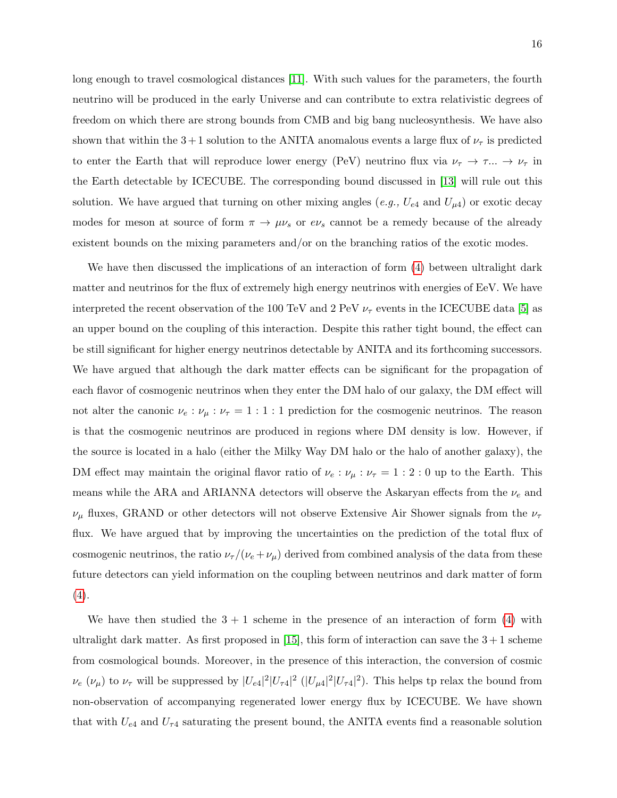long enough to travel cosmological distances [\[11\]](#page-16-10). With such values for the parameters, the fourth neutrino will be produced in the early Universe and can contribute to extra relativistic degrees of freedom on which there are strong bounds from CMB and big bang nucleosynthesis. We have also shown that within the 3+1 solution to the ANITA anomalous events a large flux of  $\nu_{\tau}$  is predicted to enter the Earth that will reproduce lower energy (PeV) neutrino flux via  $\nu_{\tau} \to \tau ... \to \nu_{\tau}$  in the Earth detectable by ICECUBE. The corresponding bound discussed in [\[13\]](#page-17-0) will rule out this solution. We have argued that turning on other mixing angles (e.g.,  $U_{e4}$  and  $U_{\mu 4}$ ) or exotic decay modes for meson at source of form  $\pi \to \mu \nu_s$  or  $e\nu_s$  cannot be a remedy because of the already existent bounds on the mixing parameters and/or on the branching ratios of the exotic modes.

We have then discussed the implications of an interaction of form  $(4)$  between ultralight dark matter and neutrinos for the flux of extremely high energy neutrinos with energies of EeV. We have interpreted the recent observation of the 100 TeV and 2 PeV  $\nu_{\tau}$  events in the ICECUBE data [\[5\]](#page-16-4) as an upper bound on the coupling of this interaction. Despite this rather tight bound, the effect can be still significant for higher energy neutrinos detectable by ANITA and its forthcoming successors. We have argued that although the dark matter effects can be significant for the propagation of each flavor of cosmogenic neutrinos when they enter the DM halo of our galaxy, the DM effect will not alter the canonic  $\nu_e : \nu_\mu : \nu_\tau = 1 : 1 : 1$  prediction for the cosmogenic neutrinos. The reason is that the cosmogenic neutrinos are produced in regions where DM density is low. However, if the source is located in a halo (either the Milky Way DM halo or the halo of another galaxy), the DM effect may maintain the original flavor ratio of  $\nu_e : \nu_\mu : \nu_\tau = 1 : 2 : 0$  up to the Earth. This means while the ARA and ARIANNA detectors will observe the Askaryan effects from the  $\nu_e$  and  $\nu_{\mu}$  fluxes, GRAND or other detectors will not observe Extensive Air Shower signals from the  $\nu_{\tau}$ flux. We have argued that by improving the uncertainties on the prediction of the total flux of cosmogenic neutrinos, the ratio  $\nu_{\tau}/(\nu_e + \nu_{\mu})$  derived from combined analysis of the data from these future detectors can yield information on the coupling between neutrinos and dark matter of form  $(4).$  $(4).$ 

We have then studied the  $3 + 1$  scheme in the presence of an interaction of form [\(4\)](#page-9-2) with ultralight dark matter. As first proposed in  $[15]$ , this form of interaction can save the  $3+1$  scheme from cosmological bounds. Moreover, in the presence of this interaction, the conversion of cosmic  $\nu_e$  ( $\nu_\mu$ ) to  $\nu_\tau$  will be suppressed by  $|U_{e4}|^2 |U_{\tau 4}|^2$  ( $|U_{\mu 4}|^2 |U_{\tau 4}|^2$ ). This helps tp relax the bound from non-observation of accompanying regenerated lower energy flux by ICECUBE. We have shown that with  $U_{e4}$  and  $U_{\tau 4}$  saturating the present bound, the ANITA events find a reasonable solution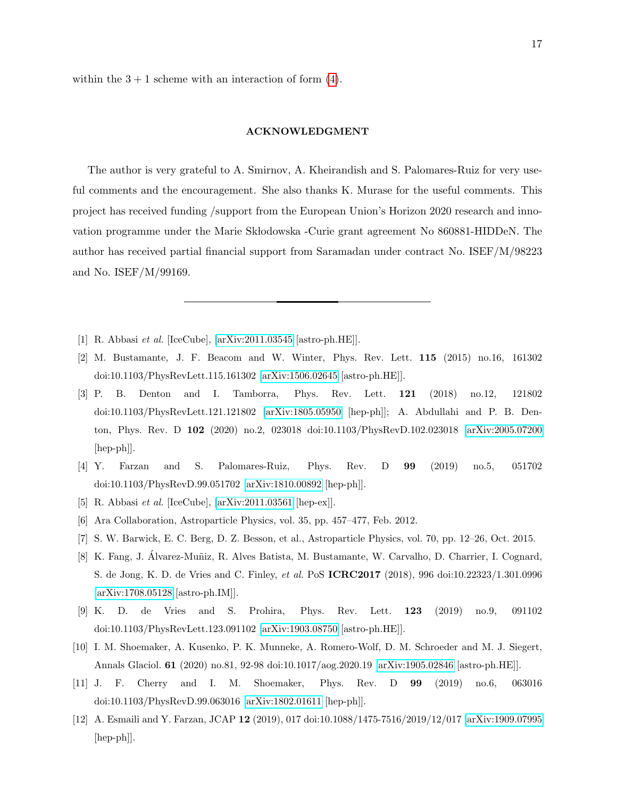within the  $3 + 1$  scheme with an interaction of form [\(4\)](#page-9-2).

## ACKNOWLEDGMENT

The author is very grateful to A. Smirnov, A. Kheirandish and S. Palomares-Ruiz for very useful comments and the encouragement. She also thanks K. Murase for the useful comments. This project has received funding /support from the European Union's Horizon 2020 research and innovation programme under the Marie Sklodowska -Curie grant agreement No 860881-HIDDeN. The author has received partial financial support from Saramadan under contract No. ISEF/M/98223 and No. ISEF/M/99169.

- <span id="page-16-1"></span><span id="page-16-0"></span>[1] R. Abbasi et al. [IceCube], [\[arXiv:2011.03545](http://arxiv.org/abs/2011.03545) [astro-ph.HE]].
- [2] M. Bustamante, J. F. Beacom and W. Winter, Phys. Rev. Lett. 115 (2015) no.16, 161302 doi:10.1103/PhysRevLett.115.161302 [\[arXiv:1506.02645](http://arxiv.org/abs/1506.02645) [astro-ph.HE]].
- <span id="page-16-2"></span>[3] P. B. Denton and I. Tamborra, Phys. Rev. Lett. 121 (2018) no.12, 121802 doi:10.1103/PhysRevLett.121.121802 [\[arXiv:1805.05950](http://arxiv.org/abs/1805.05950) [hep-ph]]; A. Abdullahi and P. B. Denton, Phys. Rev. D 102 (2020) no.2, 023018 doi:10.1103/PhysRevD.102.023018 [\[arXiv:2005.07200](http://arxiv.org/abs/2005.07200) [hep-ph]].
- <span id="page-16-3"></span>[4] Y. Farzan and S. Palomares-Ruiz, Phys. Rev. D 99 (2019) no.5, 051702 doi:10.1103/PhysRevD.99.051702 [\[arXiv:1810.00892](http://arxiv.org/abs/1810.00892) [hep-ph]].
- <span id="page-16-5"></span><span id="page-16-4"></span>[5] R. Abbasi et al. [IceCube], [\[arXiv:2011.03561](http://arxiv.org/abs/2011.03561) [hep-ex]].
- <span id="page-16-6"></span>[6] Ara Collaboration, Astroparticle Physics, vol. 35, pp. 457–477, Feb. 2012.
- <span id="page-16-7"></span>[7] S. W. Barwick, E. C. Berg, D. Z. Besson, et al., Astroparticle Physics, vol. 70, pp. 12–26, Oct. 2015.
- [8] K. Fang, J. Álvarez-Muñiz, R. Alves Batista, M. Bustamante, W. Carvalho, D. Charrier, I. Cognard, S. de Jong, K. D. de Vries and C. Finley, et al. PoS ICRC2017 (2018), 996 doi:10.22323/1.301.0996 [\[arXiv:1708.05128](http://arxiv.org/abs/1708.05128) [astro-ph.IM]].
- <span id="page-16-8"></span>[9] K. D. de Vries and S. Prohira, Phys. Rev. Lett. 123 (2019) no.9, 091102 doi:10.1103/PhysRevLett.123.091102 [\[arXiv:1903.08750](http://arxiv.org/abs/1903.08750) [astro-ph.HE]].
- <span id="page-16-9"></span>[10] I. M. Shoemaker, A. Kusenko, P. K. Munneke, A. Romero-Wolf, D. M. Schroeder and M. J. Siegert, Annals Glaciol. 61 (2020) no.81, 92-98 doi:10.1017/aog.2020.19 [\[arXiv:1905.02846](http://arxiv.org/abs/1905.02846) [astro-ph.HE]].
- <span id="page-16-10"></span>[11] J. F. Cherry and I. M. Shoemaker, Phys. Rev. D 99 (2019) no.6, 063016 doi:10.1103/PhysRevD.99.063016 [\[arXiv:1802.01611](http://arxiv.org/abs/1802.01611) [hep-ph]].
- <span id="page-16-11"></span>[12] A. Esmaili and Y. Farzan, JCAP 12 (2019), 017 doi:10.1088/1475-7516/2019/12/017 [\[arXiv:1909.07995](http://arxiv.org/abs/1909.07995) [hep-ph]].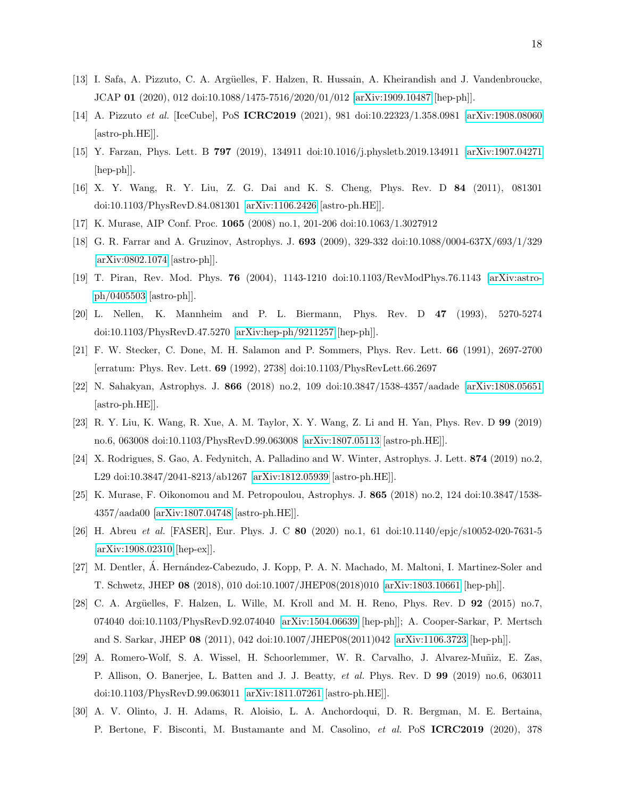- <span id="page-17-0"></span>[13] I. Safa, A. Pizzuto, C. A. Arg¨uelles, F. Halzen, R. Hussain, A. Kheirandish and J. Vandenbroucke, JCAP 01 (2020), 012 doi:10.1088/1475-7516/2020/01/012 [\[arXiv:1909.10487](http://arxiv.org/abs/1909.10487) [hep-ph]].
- <span id="page-17-1"></span>[14] A. Pizzuto et al. [IceCube], PoS ICRC2019 (2021), 981 doi:10.22323/1.358.0981 [\[arXiv:1908.08060](http://arxiv.org/abs/1908.08060) [astro-ph.HE]].
- <span id="page-17-2"></span>[15] Y. Farzan, Phys. Lett. B 797 (2019), 134911 doi:10.1016/j.physletb.2019.134911 [\[arXiv:1907.04271](http://arxiv.org/abs/1907.04271) [hep-ph]].
- <span id="page-17-3"></span>[16] X. Y. Wang, R. Y. Liu, Z. G. Dai and K. S. Cheng, Phys. Rev. D 84 (2011), 081301 doi:10.1103/PhysRevD.84.081301 [\[arXiv:1106.2426](http://arxiv.org/abs/1106.2426) [astro-ph.HE]].
- <span id="page-17-5"></span><span id="page-17-4"></span>[17] K. Murase, AIP Conf. Proc. 1065 (2008) no.1, 201-206 doi:10.1063/1.3027912
- [18] G. R. Farrar and A. Gruzinov, Astrophys. J. 693 (2009), 329-332 doi:10.1088/0004-637X/693/1/329 [\[arXiv:0802.1074](http://arxiv.org/abs/0802.1074) [astro-ph]].
- <span id="page-17-6"></span>[19] T. Piran, Rev. Mod. Phys. 76 (2004), 1143-1210 doi:10.1103/RevModPhys.76.1143 [\[arXiv:astro](http://arxiv.org/abs/astro-ph/0405503)[ph/0405503](http://arxiv.org/abs/astro-ph/0405503) [astro-ph]].
- <span id="page-17-7"></span>[20] L. Nellen, K. Mannheim and P. L. Biermann, Phys. Rev. D 47 (1993), 5270-5274 doi:10.1103/PhysRevD.47.5270 [\[arXiv:hep-ph/9211257](http://arxiv.org/abs/hep-ph/9211257) [hep-ph]].
- <span id="page-17-8"></span>[21] F. W. Stecker, C. Done, M. H. Salamon and P. Sommers, Phys. Rev. Lett. 66 (1991), 2697-2700 [erratum: Phys. Rev. Lett. 69 (1992), 2738] doi:10.1103/PhysRevLett.66.2697
- <span id="page-17-9"></span>[22] N. Sahakyan, Astrophys. J. 866 (2018) no.2, 109 doi:10.3847/1538-4357/aadade [\[arXiv:1808.05651](http://arxiv.org/abs/1808.05651) [astro-ph.HE]].
- <span id="page-17-10"></span>[23] R. Y. Liu, K. Wang, R. Xue, A. M. Taylor, X. Y. Wang, Z. Li and H. Yan, Phys. Rev. D 99 (2019) no.6, 063008 doi:10.1103/PhysRevD.99.063008 [\[arXiv:1807.05113](http://arxiv.org/abs/1807.05113) [astro-ph.HE]].
- <span id="page-17-11"></span>[24] X. Rodrigues, S. Gao, A. Fedynitch, A. Palladino and W. Winter, Astrophys. J. Lett. 874 (2019) no.2, L29 doi:10.3847/2041-8213/ab1267 [\[arXiv:1812.05939](http://arxiv.org/abs/1812.05939) [astro-ph.HE]].
- <span id="page-17-12"></span>[25] K. Murase, F. Oikonomou and M. Petropoulou, Astrophys. J. 865 (2018) no.2, 124 doi:10.3847/1538- 4357/aada00 [\[arXiv:1807.04748](http://arxiv.org/abs/1807.04748) [astro-ph.HE]].
- <span id="page-17-13"></span>[26] H. Abreu et al. [FASER], Eur. Phys. J. C 80 (2020) no.1, 61 doi:10.1140/epjc/s10052-020-7631-5 [\[arXiv:1908.02310](http://arxiv.org/abs/1908.02310) [hep-ex]].
- <span id="page-17-14"></span>[27] M. Dentler, A. Hernández-Cabezudo, J. Kopp, P. A. N. Machado, M. Maltoni, I. Martinez-Soler and T. Schwetz, JHEP 08 (2018), 010 doi:10.1007/JHEP08(2018)010 [\[arXiv:1803.10661](http://arxiv.org/abs/1803.10661) [hep-ph]].
- <span id="page-17-15"></span>[28] C. A. Argüelles, F. Halzen, L. Wille, M. Kroll and M. H. Reno, Phys. Rev. D  $92$  (2015) no.7, 074040 doi:10.1103/PhysRevD.92.074040 [\[arXiv:1504.06639](http://arxiv.org/abs/1504.06639) [hep-ph]]; A. Cooper-Sarkar, P. Mertsch and S. Sarkar, JHEP 08 (2011), 042 doi:10.1007/JHEP08(2011)042 [\[arXiv:1106.3723](http://arxiv.org/abs/1106.3723) [hep-ph]].
- <span id="page-17-16"></span>[29] A. Romero-Wolf, S. A. Wissel, H. Schoorlemmer, W. R. Carvalho, J. Alvarez-Muñiz, E. Zas, P. Allison, O. Banerjee, L. Batten and J. J. Beatty, et al. Phys. Rev. D 99 (2019) no.6, 063011 doi:10.1103/PhysRevD.99.063011 [\[arXiv:1811.07261](http://arxiv.org/abs/1811.07261) [astro-ph.HE]].
- <span id="page-17-17"></span>[30] A. V. Olinto, J. H. Adams, R. Aloisio, L. A. Anchordoqui, D. R. Bergman, M. E. Bertaina, P. Bertone, F. Bisconti, M. Bustamante and M. Casolino, et al. PoS ICRC2019 (2020), 378